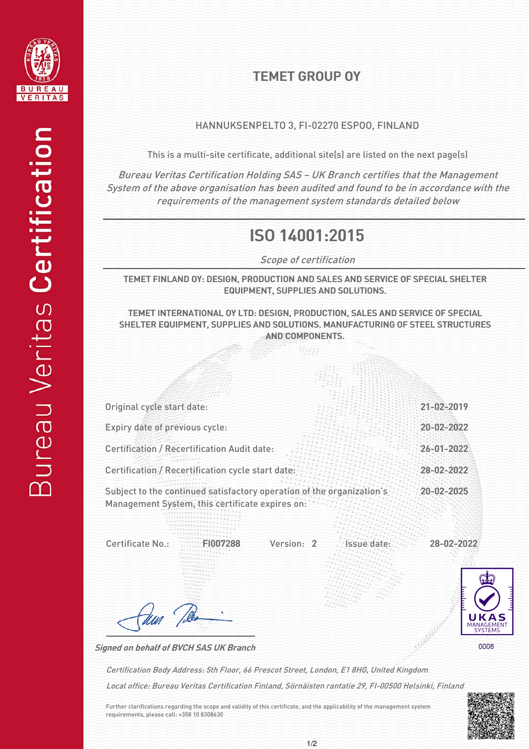

## TEMET GROUP OY

## HANNUKSENPELTO 3, FI-02270 ESPOO, FINLAND

This is a multi-site certificate, additional site(s) are listed on the next page(s)

Bureau Veritas Certification Holding SAS – UK Branch certifies that the Management System of the above organisation has been audited and found to be in accordance with the requirements of the management system standards detailed below

## ISO 14001:2015

Scope of certification

TEMET FINLAND OY: DESIGN, PRODUCTION AND SALES AND SERVICE OF SPECIAL SHELTER EQUIPMENT, SUPPLIES AND SOLUTIONS.

TEMET INTERNATIONAL OY LTD: DESIGN, PRODUCTION, SALES AND SERVICE OF SPECIAL SHELTER EQUIPMENT, SUPPLIES AND SOLUTIONS. MANUFACTURING OF STEEL STRUCTURES AND COMPONENTS.

'ight

| Original cycle start date:                                                                                               | 21-02-2019       |
|--------------------------------------------------------------------------------------------------------------------------|------------------|
| Expiry date of previous cycle:                                                                                           | 20-02-2022       |
| <b>Certification / Recertification Audit date:</b>                                                                       | $26 - 01 - 2022$ |
| Certification / Recertification cycle start date:                                                                        | 28-02-2022       |
| Subject to the continued satisfactory operation of the organization's<br>Management System, this certificate expires on: | 20-02-2025       |

Version: 2 Issue date: Certificate No.: FI007288 Version: 2 Issue date: 28-02-2022



Signed on behalf of BVCH SAS UK Branch

dun ?

Local office: Bureau Veritas Certification Finland, Sörnäisten rantatie 29, FI-00500 Helsinki, Finland Certification Body Address: 5th Floor, 66 Prescot Street, London, E1 8HG, United Kingdom

Further clarifications regarding the scope and validity of this certificate, and the applicability of the management system requirements, please call: +358 10 8308630